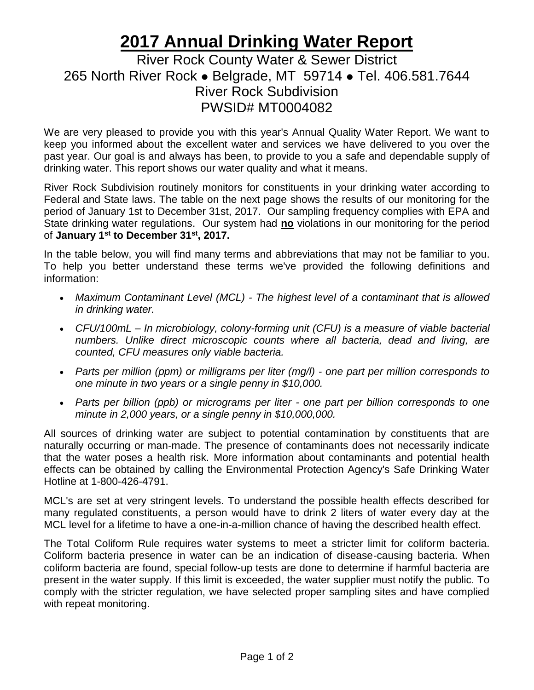## **2017 Annual Drinking Water Report**

## River Rock County Water & Sewer District 265 North River Rock ⚫ Belgrade, MT 59714 ⚫ Tel. 406.581.7644 River Rock Subdivision PWSID# MT0004082

We are very pleased to provide you with this year's Annual Quality Water Report. We want to keep you informed about the excellent water and services we have delivered to you over the past year. Our goal is and always has been, to provide to you a safe and dependable supply of drinking water. This report shows our water quality and what it means.

River Rock Subdivision routinely monitors for constituents in your drinking water according to Federal and State laws. The table on the next page shows the results of our monitoring for the period of January 1st to December 31st, 2017. Our sampling frequency complies with EPA and State drinking water regulations. Our system had **no** violations in our monitoring for the period of **January 1st to December 31st, 2017.**

In the table below, you will find many terms and abbreviations that may not be familiar to you. To help you better understand these terms we've provided the following definitions and information:

- *Maximum Contaminant Level (MCL) - The highest level of a contaminant that is allowed in drinking water.*
- *CFU/100mL – In microbiology, colony-forming unit (CFU) is a measure of viable bacterial numbers. Unlike direct microscopic counts where all bacteria, dead and living, are counted, CFU measures only viable bacteria.*
- *Parts per million (ppm) or milligrams per liter (mg/l) - one part per million corresponds to one minute in two years or a single penny in \$10,000.*
- *Parts per billion (ppb) or micrograms per liter - one part per billion corresponds to one minute in 2,000 years, or a single penny in \$10,000,000.*

All sources of drinking water are subject to potential contamination by constituents that are naturally occurring or man-made. The presence of contaminants does not necessarily indicate that the water poses a health risk. More information about contaminants and potential health effects can be obtained by calling the Environmental Protection Agency's Safe Drinking Water Hotline at 1-800-426-4791.

MCL's are set at very stringent levels. To understand the possible health effects described for many regulated constituents, a person would have to drink 2 liters of water every day at the MCL level for a lifetime to have a one-in-a-million chance of having the described health effect.

The Total Coliform Rule requires water systems to meet a stricter limit for coliform bacteria. Coliform bacteria presence in water can be an indication of disease-causing bacteria. When coliform bacteria are found, special follow-up tests are done to determine if harmful bacteria are present in the water supply. If this limit is exceeded, the water supplier must notify the public. To comply with the stricter regulation, we have selected proper sampling sites and have complied with repeat monitoring.